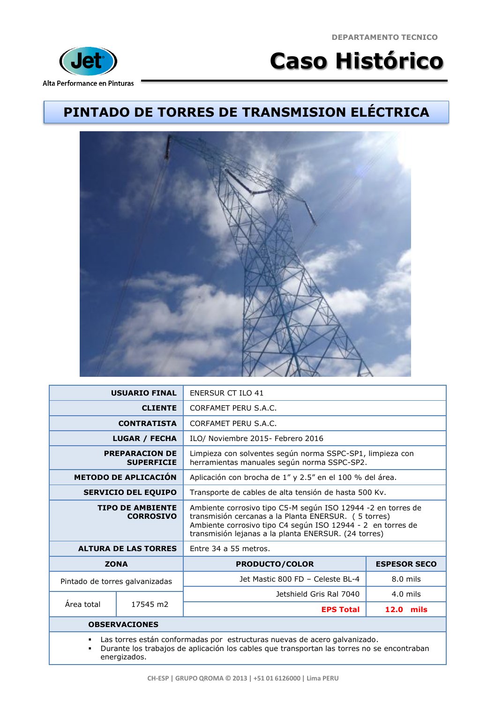**DEPARTAMENTO TECNICO**



## **Caso Histórico**

## **PINTADO DE TORRES DE TRANSMISION ELÉCTRICA**



|                                                                                                                                                                                                   | <b>USUARIO FINAL</b> | <b>ENERSUR CT ILO 41</b>                                                                                                                                                                                                                    |                     |  |
|---------------------------------------------------------------------------------------------------------------------------------------------------------------------------------------------------|----------------------|---------------------------------------------------------------------------------------------------------------------------------------------------------------------------------------------------------------------------------------------|---------------------|--|
| <b>CLIENTE</b>                                                                                                                                                                                    |                      | CORFAMET PERU S.A.C.                                                                                                                                                                                                                        |                     |  |
| <b>CONTRATISTA</b>                                                                                                                                                                                |                      | CORFAMET PERU S.A.C.                                                                                                                                                                                                                        |                     |  |
| <b>LUGAR / FECHA</b>                                                                                                                                                                              |                      | ILO/ Noviembre 2015- Febrero 2016                                                                                                                                                                                                           |                     |  |
| <b>PREPARACION DE</b><br><b>SUPERFICIE</b>                                                                                                                                                        |                      | Limpieza con solventes según norma SSPC-SP1, limpieza con<br>herramientas manuales según norma SSPC-SP2.                                                                                                                                    |                     |  |
| <b>METODO DE APLICACIÓN</b>                                                                                                                                                                       |                      | Aplicación con brocha de 1" y 2.5" en el 100 % del área.                                                                                                                                                                                    |                     |  |
| <b>SERVICIO DEL EQUIPO</b>                                                                                                                                                                        |                      | Transporte de cables de alta tensión de hasta 500 Kv.                                                                                                                                                                                       |                     |  |
| <b>TIPO DE AMBIENTE</b><br><b>CORROSIVO</b>                                                                                                                                                       |                      | Ambiente corrosivo tipo C5-M según ISO 12944 -2 en torres de<br>transmisión cercanas a la Planta ENERSUR. (5 torres)<br>Ambiente corrosivo tipo C4 según ISO 12944 - 2 en torres de<br>transmisión lejanas a la planta ENERSUR. (24 torres) |                     |  |
| <b>ALTURA DE LAS TORRES</b>                                                                                                                                                                       |                      | Entre 34 a 55 metros.                                                                                                                                                                                                                       |                     |  |
| <b>ZONA</b>                                                                                                                                                                                       |                      | <b>PRODUCTO/COLOR</b>                                                                                                                                                                                                                       | <b>ESPESOR SECO</b> |  |
| Pintado de torres galvanizadas                                                                                                                                                                    |                      | Jet Mastic 800 FD - Celeste BL-4                                                                                                                                                                                                            | $8.0$ mils          |  |
| Área total                                                                                                                                                                                        | 17545 m2             | Jetshield Gris Ral 7040                                                                                                                                                                                                                     | $4.0$ mils          |  |
|                                                                                                                                                                                                   |                      | <b>EPS Total</b>                                                                                                                                                                                                                            | $12.0$ mils         |  |
| <b>OBSERVACIONES</b>                                                                                                                                                                              |                      |                                                                                                                                                                                                                                             |                     |  |
| Las torres están conformadas por estructuras nuevas de acero galvanizado.<br>٠<br>Durante los trabajos de aplicación los cables que transportan las torres no se encontraban<br>٠<br>energizados. |                      |                                                                                                                                                                                                                                             |                     |  |